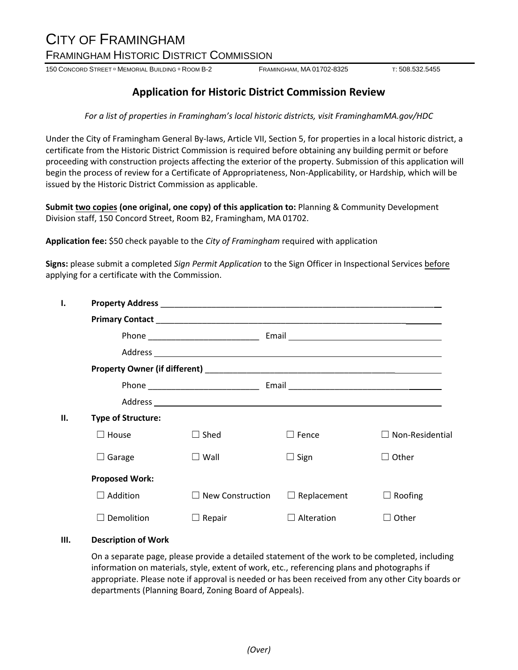# CITY OF FRAMINGHAM FRAMINGHAM HISTORIC DISTRICT COMMISSION

150 CONCORD STREET <sup>D</sup> MEMORIAL BUILDING <sup>D</sup> ROOM B-2 **FRAMINGHAM, MA 01702-8325** T: 508.532.5455

## **Application for Historic District Commission Review**

*For a list of properties in Framingham's local historic districts, visit FraminghamMA.gov/HDC*

Under the City of Framingham General By-laws, Article VII, Section 5, for properties in a local historic district, a certificate from the Historic District Commission is required before obtaining any building permit or before proceeding with construction projects affecting the exterior of the property. Submission of this application will begin the process of review for a Certificate of Appropriateness, Non-Applicability, or Hardship, which will be issued by the Historic District Commission as applicable.

**Submit two copies (one original, one copy) of this application to:** Planning & Community Development Division staff, 150 Concord Street, Room B2, Framingham, MA 01702.

**Application fee:** \$50 check payable to the *City of Framingham* required with application

**Signs:** please submit a completed *Sign Permit Application* to the Sign Officer in Inspectional Services before applying for a certificate with the Commission.

| 1. |                           |                         |                    |                        |  |  |
|----|---------------------------|-------------------------|--------------------|------------------------|--|--|
|    |                           |                         |                    |                        |  |  |
|    |                           |                         |                    |                        |  |  |
|    |                           |                         |                    |                        |  |  |
|    |                           |                         |                    |                        |  |  |
|    |                           |                         |                    |                        |  |  |
|    |                           |                         |                    |                        |  |  |
| П. | <b>Type of Structure:</b> |                         |                    |                        |  |  |
|    | House                     | $\Box$ Shed             | $\Box$ Fence       | $\Box$ Non-Residential |  |  |
|    | Garage<br>ப               | $\square$ Wall          | $\Box$ Sign        | Other                  |  |  |
|    | <b>Proposed Work:</b>     |                         |                    |                        |  |  |
|    | Addition                  | $\Box$ New Construction | $\Box$ Replacement | Roofing                |  |  |
|    | Demolition                | $\Box$ Repair           | Alteration         | Other                  |  |  |

### **III. Description of Work**

On a separate page, please provide a detailed statement of the work to be completed, including information on materials, style, extent of work, etc., referencing plans and photographs if appropriate. Please note if approval is needed or has been received from any other City boards or departments (Planning Board, Zoning Board of Appeals).